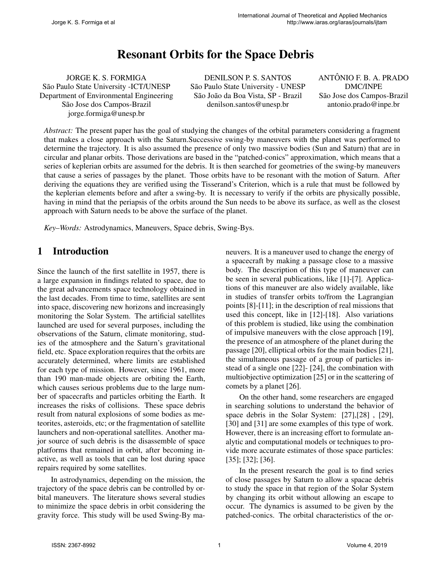# Resonant Orbits for the Space Debris

JORGE K. S. FORMIGA São Paulo State University - ICT/UNESP Department of Environmental Engineering São Jose dos Campos-Brazil jorge.formiga@unesp.br

DENILSON P. S. SANTOS São Paulo State University - UNESP São João da Boa Vista, SP - Brazil denilson.santos@unesp.br

ANTÔNIO F. B. A. PRADO DMC/INPE São Jose dos Campos-Brazil antonio.prado@inpe.br

*Abstract:* The present paper has the goal of studying the changes of the orbital parameters considering a fragment that makes a close approach with the Saturn.Successive swing-by maneuvers with the planet was performed to determine the trajectory. It is also assumed the presence of only two massive bodies (Sun and Saturn) that are in circular and planar orbits. Those derivations are based in the "patched-conics" approximation, which means that a series of keplerian orbits are assumed for the debris. It is then searched for geometries of the swing-by maneuvers that cause a series of passages by the planet. Those orbits have to be resonant with the motion of Saturn. After deriving the equations they are verified using the Tisserand's Criterion, which is a rule that must be followed by the keplerian elements before and after a swing-by. It is necessary to verify if the orbits are physically possible, having in mind that the periapsis of the orbits around the Sun needs to be above its surface, as well as the closest approach with Saturn needs to be above the surface of the planet.

*Key–Words:* Astrodynamics, Maneuvers, Space debris, Swing-Bys.

### 1 Introduction

Since the launch of the first satellite in 1957, there is a large expansion in findings related to space, due to the great advancements space technology obtained in the last decades. From time to time, satellites are sent into space, discovering new horizons and increasingly monitoring the Solar System. The artificial satellites launched are used for several purposes, including the observations of the Saturn, climate monitoring, studies of the atmosphere and the Saturn's gravitational field, etc. Space exploration requires that the orbits are accurately determined, where limits are established for each type of mission. However, since 1961, more than 190 man-made objects are orbiting the Earth, which causes serious problems due to the large number of spacecrafts and particles orbiting the Earth. It increases the risks of collisions. These space debris result from natural explosions of some bodies as meteorites, asteroids, etc; or the fragmentation of satellite launchers and non-operational satellites. Another major source of such debris is the disassemble of space platforms that remained in orbit, after becoming inactive, as well as tools that can be lost during space repairs required by some satellites.

In astrodynamics, depending on the mission, the trajectory of the space debris can be controlled by orbital maneuvers. The literature shows several studies to minimize the space debris in orbit considering the gravity force. This study will be used Swing-By maneuvers. It is a maneuver used to change the energy of a spacecraft by making a passage close to a massive body. The description of this type of maneuver can be seen in several publications, like [1]-[7]. Applications of this maneuver are also widely available, like in studies of transfer orbits to/from the Lagrangian points [8]-[11]; in the description of real missions that used this concept, like in [12]-[18]. Also variations of this problem is studied, like using the combination of impulsive maneuvers with the close approach [19], the presence of an atmosphere of the planet during the passage [20], elliptical orbits for the main bodies [21], the simultaneous passage of a group of particles instead of a single one [22]- [24], the combination with multiobjective optimization [25] or in the scattering of comets by a planet [26].

On the other hand, some researchers are engaged in searching solutions to understand the behavior of space debris in the Solar System: [27],[28] , [29], [30] and [31] are some examples of this type of work. However, there is an increasing effort to formulate analytic and computational models or techniques to provide more accurate estimates of those space particles: [35]; [32]; [36].

In the present research the goal is to find series of close passages by Saturn to allow a spacae debris to study the space in that region of the Solar System by changing its orbit without allowing an escape to occur. The dynamics is assumed to be given by the patched-conics. The orbital characteristics of the or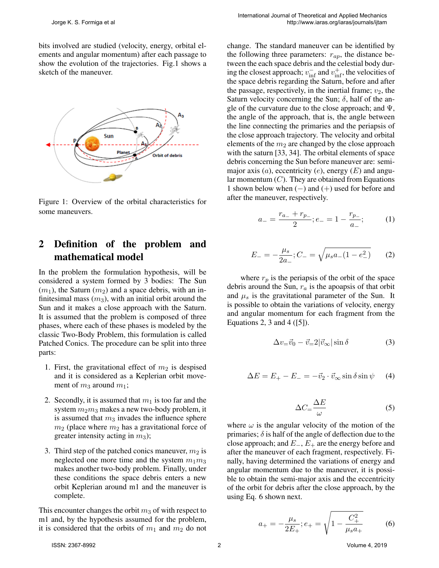bits involved are studied (velocity, energy, orbital elements and angular momentum) after each passage to show the evolution of the trajectories. Fig.1 shows a sketch of the maneuver.



Figure 1: Overview of the orbital characteristics for some maneuvers.

### 2 Definition of the problem and mathematical model

In the problem the formulation hypothesis, will be considered a system formed by 3 bodies: The Sun  $(m_1)$ , the Saturn  $(m_2)$  and a space debris, with an infinitesimal mass  $(m_3)$ , with an initial orbit around the Sun and it makes a close approach with the Saturn. It is assumed that the problem is composed of three phases, where each of these phases is modeled by the classic Two-Body Problem, this formulation is called Patched Conics. The procedure can be split into three parts:

- 1. First, the gravitational effect of  $m_2$  is despised and it is considered as a Keplerian orbit movement of  $m_3$  around  $m_1$ ;
- 2. Secondly, it is assumed that  $m_1$  is too far and the system  $m_2m_3$  makes a new two-body problem, it is assumed that  $m_3$  invades the influence sphere  $m_2$  (place where  $m_2$  has a gravitational force of greater intensity acting in  $m_3$ );
- 3. Third step of the patched conics maneuver,  $m_2$  is neglected one more time and the system  $m_1m_3$ makes another two-body problem. Finally, under these conditions the space debris enters a new orbit Keplerian around m1 and the maneuver is complete.

This encounter changes the orbit  $m_3$  of with respect to m1 and, by the hypothesis assumed for the problem, it is considered that the orbits of  $m_1$  and  $m_2$  do not

change. The standard maneuver can be identified by the following three parameters:  $r_{ap}$ , the distance between the each space debris and the celestial body during the closest approach;  $v_{\text{inf}}^-$  and  $v_{\text{inf}}^+$ , the velocities of the space debris regarding the Saturn, before and after the passage, respectively, in the inertial frame;  $v_2$ , the Saturn velocity concerning the Sun;  $\delta$ , half of the angle of the curvature due to the close approach; and  $\Psi$ , the angle of the approach, that is, the angle between the line connecting the primaries and the periapsis of the close approach trajectory. The velocity and orbital elements of the  $m_2$  are changed by the close approach with the saturn [33, 34]. The orbital elements of space debris concerning the Sun before maneuver are: semimajor axis  $(a)$ , eccentricity  $(e)$ , energy  $(E)$  and angular momentum  $(C)$ . They are obtained from Equations 1 shown below when (−) and (+) used for before and after the maneuver, respectively.

$$
a_{-} = \frac{r_{a_{-}} + r_{p_{-}}}{2}; e_{-} = 1 - \frac{r_{p_{-}}}{a_{-}};
$$
 (1)

$$
E_{-} = -\frac{\mu_s}{2a_{-}}; C_{-} = \sqrt{\mu_s a_{-}(1 - e_{-}^2)} \qquad (2)
$$

where  $r_p$  is the periapsis of the orbit of the space debris around the Sun,  $r_a$  is the apoapsis of that orbit and  $\mu_s$  is the gravitational parameter of the Sun. It is possible to obtain the variations of velocity, energy and angular momentum for each fragment from the Equations 2, 3 and 4 ( $[5]$ ).

$$
\Delta v_{=} \vec{v}_0 - \vec{v}_= 2 |\vec{v}_\infty| \sin \delta \tag{3}
$$

$$
\Delta E = E_{+} - E_{-} = -\vec{v}_2 \cdot \vec{v}_{\infty} \sin \delta \sin \psi \quad (4)
$$

$$
\Delta C_{\rm{m}} \frac{\Delta E}{\omega} \tag{5}
$$

where  $\omega$  is the angular velocity of the motion of the primaries;  $\delta$  is half of the angle of deflection due to the close approach; and  $E_-, E_+$  are the energy before and after the maneuver of each fragment, respectively. Finally, having determined the variations of energy and angular momentum due to the maneuver, it is possible to obtain the semi-major axis and the eccentricity of the orbit for debris after the close approach, by the using Eq. 6 shown next.

$$
a_{+} = -\frac{\mu_s}{2E_{+}}; e_{+} = \sqrt{1 - \frac{C_{+}^2}{\mu_s a_{+}}} \tag{6}
$$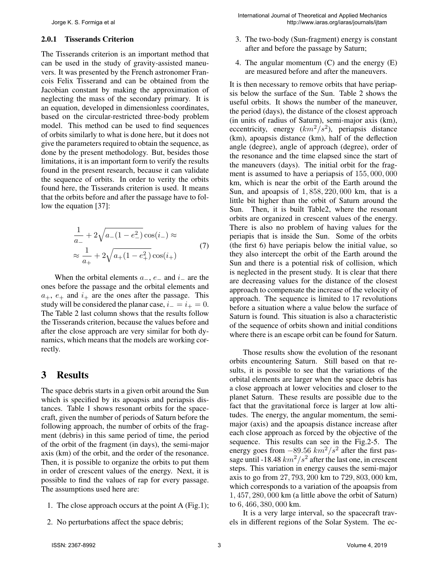#### 2.0.1 Tisserands Criterion

The Tisserands criterion is an important method that can be used in the study of gravity-assisted maneuvers. It was presented by the French astronomer Francois Felix Tisserand and can be obtained from the Jacobian constant by making the approximation of neglecting the mass of the secondary primary. It is an equation, developed in dimensionless coordinates, based on the circular-restricted three-body problem model. This method can be used to find sequences of orbits similarly to what is done here, but it does not give the parameters required to obtain the sequence, as done by the present methodology. But, besides those limitations, it is an important form to verify the results found in the present research, because it can validate the sequence of orbits. In order to verity the orbits found here, the Tisserands criterion is used. It means that the orbits before and after the passage have to follow the equation [37]:

$$
\frac{1}{a_{-}} + 2\sqrt{a_{-}(1 - e_{-}^{2})}\cos(i_{-}) \approx
$$
\n
$$
\approx \frac{1}{a_{+}} + 2\sqrt{a_{+}(1 - e_{+}^{2})}\cos(i_{+})
$$
\n(7)

When the orbital elements  $a_-, e_$  and  $i_$  are the ones before the passage and the orbital elements and  $a_+$ ,  $e_+$  and  $i_+$  are the ones after the passage. This study will be considered the planar case,  $i_-=i_+=0$ . The Table 2 last column shows that the results follow the Tisserands criterion, because the values before and after the close approach are very similar for both dynamics, which means that the models are working correctly.

### 3 Results

The space debris starts in a given orbit around the Sun which is specified by its apoapsis and periapsis distances. Table 1 shows resonant orbits for the spacecraft, given the number of periods of Saturn before the following approach, the number of orbits of the fragment (debris) in this same period of time, the period of the orbit of the fragment (in days), the semi-major axis (km) of the orbit, and the order of the resonance. Then, it is possible to organize the orbits to put them in order of crescent values of the energy. Next, it is possible to find the values of rap for every passage. The assumptions used here are:

- 1. The close approach occurs at the point A (Fig.1);
- 2. No perturbations affect the space debris;
- 3. The two-body (Sun-fragment) energy is constant after and before the passage by Saturn;
- 4. The angular momentum  $(C)$  and the energy  $(E)$ are measured before and after the maneuvers.

It is then necessary to remove orbits that have periapsis below the surface of the Sun. Table 2 shows the useful orbits. It shows the number of the maneuver, the period (days), the distance of the closest approach (in units of radius of Saturn), semi-major axis (km), eccentricity, energy  $(km^2/s^2)$ , periapsis distance (km), apoapsis distance (km), half of the deflection angle (degree), angle of approach (degree), order of the resonance and the time elapsed since the start of the maneuvers (days). The initial orbit for the fragment is assumed to have a periapsis of 155, 000, 000 km, which is near the orbit of the Earth around the Sun, and apoapsis of 1, 858, 220, 000 km, that is a little bit higher than the orbit of Saturn around the Sun. Then, it is built Table2, where the resonant orbits are organized in crescent values of the energy. There is also no problem of having values for the periapis that is inside the Sun. Some of the orbits (the first 6) have periapis below the initial value, so they also intercept the orbit of the Earth around the Sun and there is a potential risk of collision, which is neglected in the present study. It is clear that there are decreasing values for the distance of the closest approach to compensate the increase of the velocity of approach. The sequence is limited to 17 revolutions before a situation where a value below the surface of Saturn is found. This situation is also a characteristic of the sequence of orbits shown and initial conditions where there is an escape orbit can be found for Saturn.

Those results show the evolution of the resonant orbits encountering Saturn. Still based on that results, it is possible to see that the variations of the orbital elements are larger when the space debris has a close approach at lower velocities and closer to the planet Saturn. These results are possible due to the fact that the gravitational force is larger at low altitudes. The energy, the angular momentum, the semimajor (axis) and the apoapsis distance increase after each close approach as forced by the objective of the sequence. This results can see in the Fig.2-5. The energy goes from  $-89.56$   $km^2/s^2$  after the first passage until -18.48  $km^2/s^2$  after the last one, in crescent steps. This variation in energy causes the semi-major axis to go from 27, 793, 200 km to 729, 803, 000 km, which corresponds to a variation of the apoapsis from 1, 457, 280, 000 km (a little above the orbit of Saturn) to 6, 466, 380, 000 km.

It is a very large interval, so the spacecraft travels in different regions of the Solar System. The ec-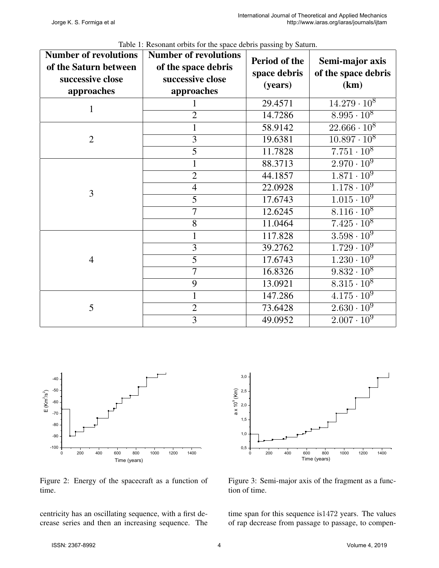| <b>Number of revolutions</b><br>of the Saturn between<br>successive close<br>approaches | <b>Number of revolutions</b><br>of the space debris<br>successive close<br>approaches | Period of the<br>space debris<br>(years) | Semi-major axis<br>of the space debris<br>(km) |  |
|-----------------------------------------------------------------------------------------|---------------------------------------------------------------------------------------|------------------------------------------|------------------------------------------------|--|
| $\mathbf{1}$                                                                            |                                                                                       | 29.4571                                  | $14.279 \cdot 10^8$                            |  |
|                                                                                         | $\overline{2}$                                                                        | 14.7286                                  | $8.995 \cdot 10^8$                             |  |
|                                                                                         | $\mathbf{1}$                                                                          | 58.9142                                  | $22.666 \cdot 10^8$                            |  |
| $\overline{2}$                                                                          | $\overline{3}$                                                                        | 19.6381                                  | $10.897 \cdot 10^8$                            |  |
|                                                                                         | $\overline{5}$                                                                        | 11.7828                                  | $7.751 \cdot 10^8$                             |  |
|                                                                                         | $\mathbf{1}$                                                                          | 88.3713                                  | $2.970 \cdot 10^{9}$                           |  |
|                                                                                         | $\overline{2}$                                                                        | 44.1857                                  | $1.871 \cdot 10^9$                             |  |
| 3                                                                                       | $\overline{4}$                                                                        | 22.0928                                  | $1.178 \cdot 10^{9}$                           |  |
|                                                                                         | $\overline{5}$                                                                        | 17.6743                                  | $\overline{1.015 \cdot 10^9}$                  |  |
|                                                                                         | $\overline{7}$                                                                        | 12.6245                                  | $8.116 \cdot 10^8$                             |  |
|                                                                                         | 8                                                                                     | 11.0464                                  | $7.425 \cdot 10^8$                             |  |
|                                                                                         | $\mathbf{1}$                                                                          | 117.828                                  | $3.\overline{598 \cdot 10^9}$                  |  |
|                                                                                         | $\overline{3}$                                                                        | 39.2762                                  | $1.729 \cdot 10^{9}$                           |  |
| $\overline{4}$                                                                          | $\overline{5}$                                                                        | 17.6743                                  | $1.230 \cdot 10^9$                             |  |
|                                                                                         | $\overline{7}$                                                                        | 16.8326                                  | $9.832 \cdot 10^8$                             |  |
|                                                                                         | 9                                                                                     | 13.0921                                  | $8.\overline{315 \cdot 10^8}$                  |  |
|                                                                                         | 1                                                                                     | 147.286                                  | $4.175 \cdot 10^9$                             |  |
| 5                                                                                       | $\overline{2}$                                                                        | 73.6428                                  | $2.\overline{630 \cdot 10^9}$                  |  |
|                                                                                         | $\overline{3}$                                                                        | 49.0952                                  | $2.007 \cdot 10^{9}$                           |  |

Table 1: Resonant orbits for the space debris passing by Saturn.



Figure 2: Energy of the spacecraft as a function of time.

centricity has an oscillating sequence, with a first decrease series and then an increasing sequence. The



Figure 3: Semi-major axis of the fragment as a function of time.

time span for this sequence is1472 years. The values of rap decrease from passage to passage, to compen-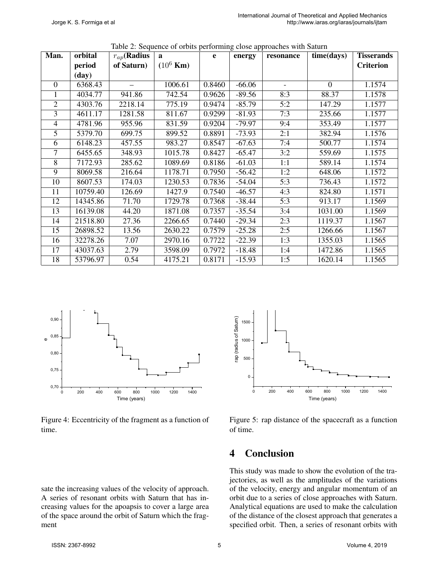| Man.           | orbital      | $r_{ap}$ (Radius | $\mathbf{a}$        | $\mathbf{e}$ | energy   | racio 2. Sequence of crons performing crose approaches while saturn<br>resonance | time(days)     | <b>Tisserands</b>   |
|----------------|--------------|------------------|---------------------|--------------|----------|----------------------------------------------------------------------------------|----------------|---------------------|
|                | period       | of Saturn)       | $(10^6 \text{ Km})$ |              |          |                                                                                  |                | <b>Criterion</b>    |
|                | $(\bf{day})$ |                  |                     |              |          |                                                                                  |                |                     |
| $\overline{0}$ | 6368.43      |                  | 1006.61             | 0.8460       | $-66.06$ | $\overline{\phantom{a}}$                                                         | $\overline{0}$ | 1.1574              |
| 1              | 4034.77      | 941.86           | 742.54              | 0.9626       | $-89.56$ | 8:3                                                                              | 88.37          | 1.1578              |
| $\overline{2}$ | 4303.76      | 2218.14          | 775.19              | 0.9474       | $-85.79$ | 5:2                                                                              | 147.29         | 1.1577              |
| $\overline{3}$ | 4611.17      | 1281.58          | 811.67              | 0.9299       | $-81.93$ | 7:3                                                                              | 235.66         | 1.1577              |
| $\overline{4}$ | 4781.96      | 955.96           | 831.59              | 0.9204       | $-79.97$ | 9:4                                                                              | 353.49         | 1.1577              |
| 5              | 5379.70      | 699.75           | 899.52              | 0.8891       | $-73.93$ | 2:1                                                                              | 382.94         | 1.1576              |
| 6              | 6148.23      | 457.55           | 983.27              | 0.8547       | $-67.63$ | 7:4                                                                              | 500.77         | 1.1574              |
| $\overline{7}$ | 6455.65      | 348.93           | 1015.78             | 0.8427       | $-65.47$ | 3:2                                                                              | 559.69         | $\overline{1.1575}$ |
| $\overline{8}$ | 7172.93      | 285.62           | 1089.69             | 0.8186       | $-61.03$ | 1:1                                                                              | 589.14         | 1.1574              |
| 9              | 8069.58      | 216.64           | 1178.71             | 0.7950       | $-56.42$ | 1:2                                                                              | 648.06         | 1.1572              |
| 10             | 8607.53      | 174.03           | 1230.53             | 0.7836       | $-54.04$ | 5:3                                                                              | 736.43         | 1.1572              |
| 11             | 10759.40     | 126.69           | 1427.9              | 0.7540       | $-46.57$ | 4:3                                                                              | 824.80         | 1.1571              |
| 12             | 14345.86     | 71.70            | 1729.78             | 0.7368       | $-38.44$ | 5:3                                                                              | 913.17         | 1.1569              |
| 13             | 16139.08     | 44.20            | 1871.08             | 0.7357       | $-35.54$ | 3:4                                                                              | 1031.00        | 1.1569              |
| 14             | 21518.80     | 27.36            | 2266.65             | 0.7440       | $-29.34$ | 2:3                                                                              | 1119.37        | 1.1567              |
| 15             | 26898.52     | 13.56            | 2630.22             | 0.7579       | $-25.28$ | 2:5                                                                              | 1266.66        | 1.1567              |
| 16             | 32278.26     | 7.07             | 2970.16             | 0.7722       | $-22.39$ | 1:3                                                                              | 1355.03        | 1.1565              |
| 17             | 43037.63     | 2.79             | 3598.09             | 0.7972       | $-18.48$ | 1:4                                                                              | 1472.86        | 1.1565              |
| 18             | 53796.97     | 0.54             | 4175.21             | 0.8171       | $-15.93$ | 1:5                                                                              | 1620.14        | 1.1565              |

Table 2: Sequence of orbits performing close approaches with Saturn



Figure 4: Eccentricity of the fragment as a function of time.

sate the increasing values of the velocity of approach. A series of resonant orbits with Saturn that has increasing values for the apoapsis to cover a large area of the space around the orbit of Saturn which the fragment



Figure 5: rap distance of the spacecraft as a function of time.

## 4 Conclusion

This study was made to show the evolution of the trajectories, as well as the amplitudes of the variations of the velocity, energy and angular momentum of an orbit due to a series of close approaches with Saturn. Analytical equations are used to make the calculation of the distance of the closest approach that generates a specified orbit. Then, a series of resonant orbits with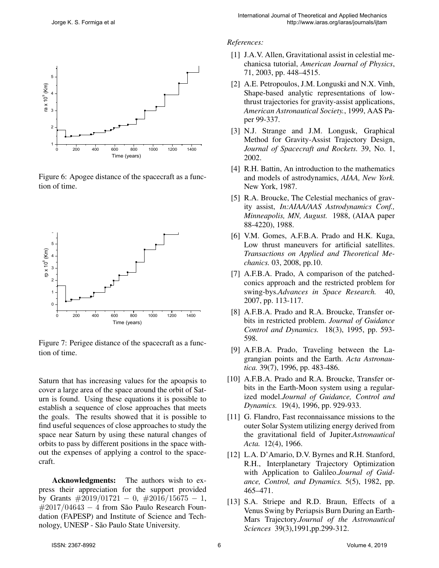

Figure 6: Apogee distance of the spacecraft as a function of time.



Figure 7: Perigee distance of the spacecraft as a function of time.

Saturn that has increasing values for the apoapsis to cover a large area of the space around the orbit of Saturn is found. Using these equations it is possible to establish a sequence of close approaches that meets the goals. The results showed that it is possible to find useful sequences of close approaches to study the space near Saturn by using these natural changes of orbits to pass by different positions in the space without the expenses of applying a control to the spacecraft.

Acknowledgments: The authors wish to express their appreciation for the support provided by Grants  $\#2019/01721 - 0$ ,  $\#2016/15675 - 1$ ,  $\#2017/04643 - 4$  from São Paulo Research Foundation (FAPESP) and Institute of Science and Technology, UNESP - São Paulo State University.

#### *References:*

- [1] J.A.V. Allen, Gravitational assist in celestial mechanicsa tutorial, *American Journal of Physics*, 71, 2003, pp. 448–4515.
- [2] A.E. Petropoulos, J.M. Longuski and N.X. Vinh, Shape-based analytic representations of lowthrust trajectories for gravity-assist applications, *American Astronautical Society.*, 1999, AAS Paper 99-337.
- [3] N.J. Strange and J.M. Longusk, Graphical Method for Gravity-Assist Trajectory Design, *Journal of Spacecraft and Rockets.* 39, No. 1, 2002.
- [4] R.H. Battin, An introduction to the mathematics and models of astrodynamics, *AIAA, New York.* New York, 1987.
- [5] R.A. Broucke, The Celestial mechanics of gravity assist, *In:AIAA/AAS Astrodynamics Conf., Minneapolis, MN, August.* 1988, (AIAA paper 88-4220), 1988.
- [6] V.M. Gomes, A.F.B.A. Prado and H.K. Kuga, Low thrust maneuvers for artificial satellites. *Transactions on Applied and Theoretical Mechanics.* 03, 2008, pp.10.
- [7] A.F.B.A. Prado, A comparison of the patchedconics approach and the restricted problem for swing-bys.*Advances in Space Research.* 40, 2007, pp. 113-117.
- [8] A.F.B.A. Prado and R.A. Broucke, Transfer orbits in restricted problem. *Journal of Guidance Control and Dynamics.* 18(3), 1995, pp. 593- 598.
- [9] A.F.B.A. Prado, Traveling between the Lagrangian points and the Earth. *Acta Astronautica.* 39(7), 1996, pp. 483-486.
- [10] A.F.B.A. Prado and R.A. Broucke, Transfer orbits in the Earth-Moon system using a regularized model.*Journal of Guidance, Control and Dynamics.* 19(4), 1996, pp. 929-933.
- [11] G. Flandro, Fast reconnaissance missions to the outer Solar System utilizing energy derived from the gravitational field of Jupiter.*Astronautical Acta.* 12(4), 1966.
- [12] L.A. D'Amario, D.V. Byrnes and R.H. Stanford, R.H., Interplanetary Trajectory Optimization with Application to Galileo.*Journal of Guidance, Control, and Dynamics.* 5(5), 1982, pp. 465–471.
- [13] S.A. Striepe and R.D. Braun, Effects of a Venus Swing by Periapsis Burn During an Earth-Mars Trajectory.*Journal of the Astronautical Sciences* 39(3),1991,pp.299-312.